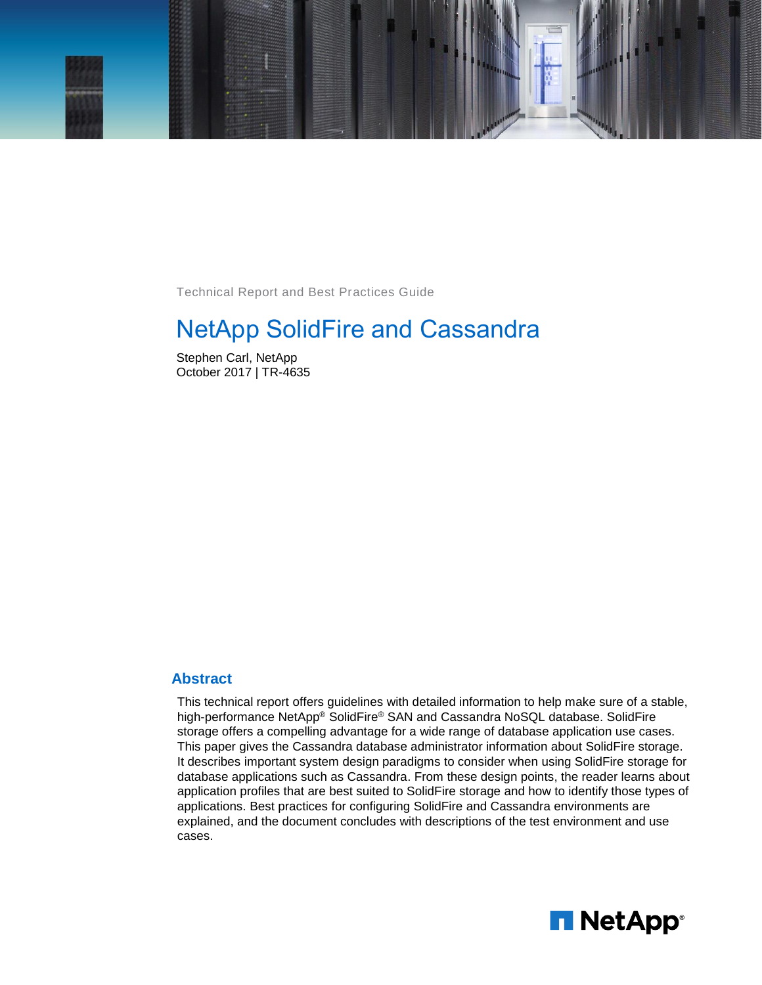

Technical Report and Best Practices Guide

# NetApp SolidFire and Cassandra

Stephen Carl, NetApp October 2017 | TR-4635

#### **Abstract**

This technical report offers guidelines with detailed information to help make sure of a stable, high-performance NetApp® SolidFire® SAN and Cassandra NoSQL database. SolidFire storage offers a compelling advantage for a wide range of database application use cases. This paper gives the Cassandra database administrator information about SolidFire storage. It describes important system design paradigms to consider when using SolidFire storage for database applications such as Cassandra. From these design points, the reader learns about application profiles that are best suited to SolidFire storage and how to identify those types of applications. Best practices for configuring SolidFire and Cassandra environments are explained, and the document concludes with descriptions of the test environment and use cases.

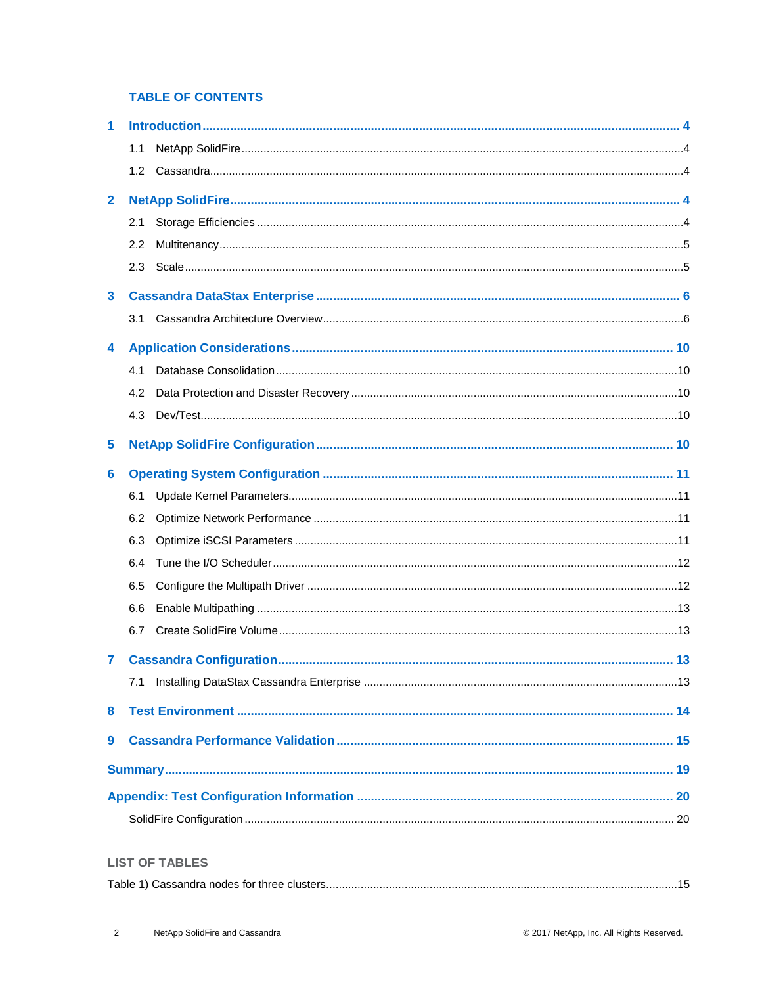#### **TABLE OF CONTENTS**

| 1                       |     |  |  |  |  |  |  |  |
|-------------------------|-----|--|--|--|--|--|--|--|
|                         | 1.1 |  |  |  |  |  |  |  |
|                         |     |  |  |  |  |  |  |  |
| $\mathbf{2}$            |     |  |  |  |  |  |  |  |
|                         | 2.1 |  |  |  |  |  |  |  |
|                         | 2.2 |  |  |  |  |  |  |  |
|                         | 2.3 |  |  |  |  |  |  |  |
| $\mathbf{3}$            |     |  |  |  |  |  |  |  |
|                         | 3.1 |  |  |  |  |  |  |  |
| 4                       |     |  |  |  |  |  |  |  |
|                         | 4.1 |  |  |  |  |  |  |  |
|                         | 4.2 |  |  |  |  |  |  |  |
|                         | 4.3 |  |  |  |  |  |  |  |
| $\overline{\mathbf{5}}$ |     |  |  |  |  |  |  |  |
| 6                       |     |  |  |  |  |  |  |  |
|                         | 6.1 |  |  |  |  |  |  |  |
|                         | 6.2 |  |  |  |  |  |  |  |
|                         | 6.3 |  |  |  |  |  |  |  |
|                         | 6.4 |  |  |  |  |  |  |  |
|                         | 6.5 |  |  |  |  |  |  |  |
|                         | 6.6 |  |  |  |  |  |  |  |
|                         | 6.7 |  |  |  |  |  |  |  |
| 7                       |     |  |  |  |  |  |  |  |
|                         | 7.1 |  |  |  |  |  |  |  |
| 8                       |     |  |  |  |  |  |  |  |
| 9                       |     |  |  |  |  |  |  |  |
|                         |     |  |  |  |  |  |  |  |
|                         |     |  |  |  |  |  |  |  |
|                         |     |  |  |  |  |  |  |  |
|                         |     |  |  |  |  |  |  |  |

#### **LIST OF TABLES**

|--|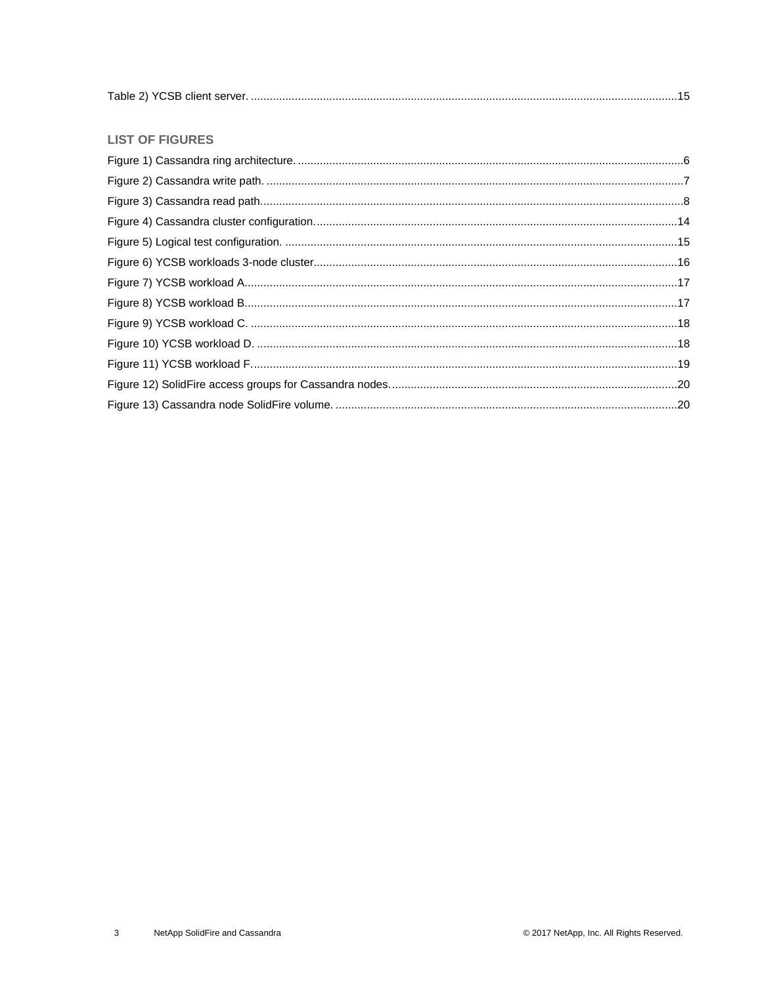#### **LIST OF FIGURES**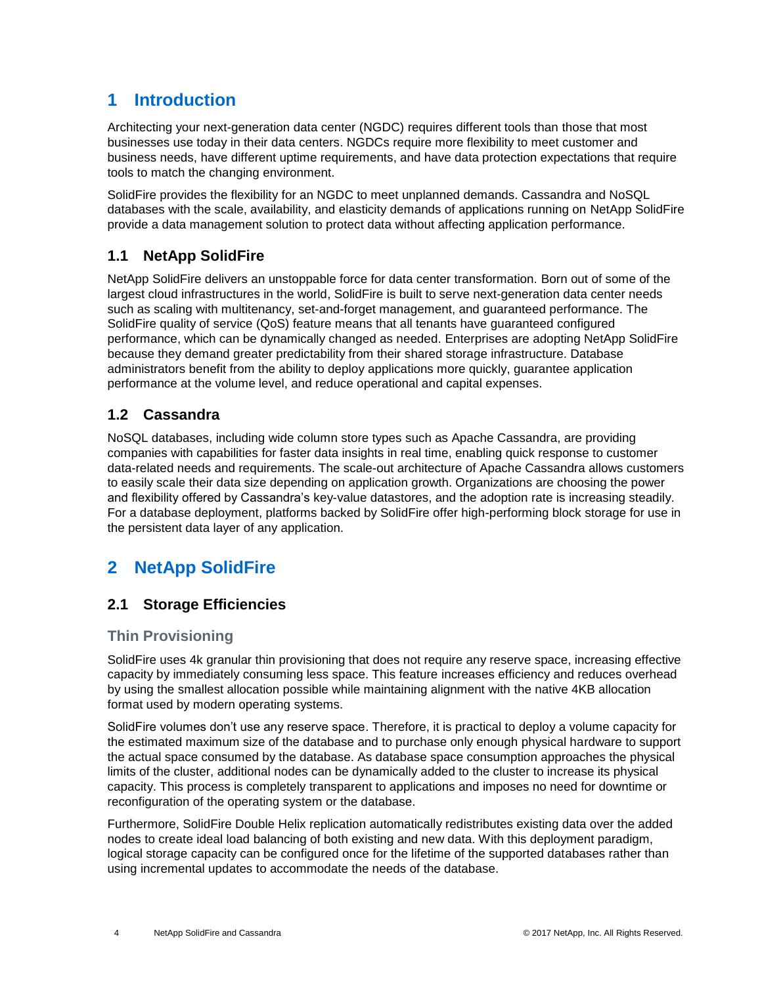# <span id="page-3-0"></span>**1 Introduction**

Architecting your next-generation data center (NGDC) requires different tools than those that most businesses use today in their data centers. NGDCs require more flexibility to meet customer and business needs, have different uptime requirements, and have data protection expectations that require tools to match the changing environment.

SolidFire provides the flexibility for an NGDC to meet unplanned demands. Cassandra and NoSQL databases with the scale, availability, and elasticity demands of applications running on NetApp SolidFire provide a data management solution to protect data without affecting application performance.

## <span id="page-3-1"></span>**1.1 NetApp SolidFire**

NetApp SolidFire delivers an unstoppable force for data center transformation. Born out of some of the largest cloud infrastructures in the world, SolidFire is built to serve next-generation data center needs such as scaling with multitenancy, set-and-forget management, and guaranteed performance. The SolidFire quality of service (QoS) feature means that all tenants have guaranteed configured performance, which can be dynamically changed as needed. Enterprises are adopting NetApp SolidFire because they demand greater predictability from their shared storage infrastructure. Database administrators benefit from the ability to deploy applications more quickly, guarantee application performance at the volume level, and reduce operational and capital expenses.

#### <span id="page-3-2"></span>**1.2 Cassandra**

NoSQL databases, including wide column store types such as Apache Cassandra, are providing companies with capabilities for faster data insights in real time, enabling quick response to customer data-related needs and requirements. The scale-out architecture of Apache Cassandra allows customers to easily scale their data size depending on application growth. Organizations are choosing the power and flexibility offered by Cassandra's key-value datastores, and the adoption rate is increasing steadily. For a database deployment, platforms backed by SolidFire offer high-performing block storage for use in the persistent data layer of any application.

## <span id="page-3-3"></span>**2 NetApp SolidFire**

## <span id="page-3-4"></span>**2.1 Storage Efficiencies**

#### **Thin Provisioning**

SolidFire uses 4k granular thin provisioning that does not require any reserve space, increasing effective capacity by immediately consuming less space. This feature increases efficiency and reduces overhead by using the smallest allocation possible while maintaining alignment with the native 4KB allocation format used by modern operating systems.

SolidFire volumes don't use any reserve space. Therefore, it is practical to deploy a volume capacity for the estimated maximum size of the database and to purchase only enough physical hardware to support the actual space consumed by the database. As database space consumption approaches the physical limits of the cluster, additional nodes can be dynamically added to the cluster to increase its physical capacity. This process is completely transparent to applications and imposes no need for downtime or reconfiguration of the operating system or the database.

Furthermore, SolidFire Double Helix replication automatically redistributes existing data over the added nodes to create ideal load balancing of both existing and new data. With this deployment paradigm, logical storage capacity can be configured once for the lifetime of the supported databases rather than using incremental updates to accommodate the needs of the database.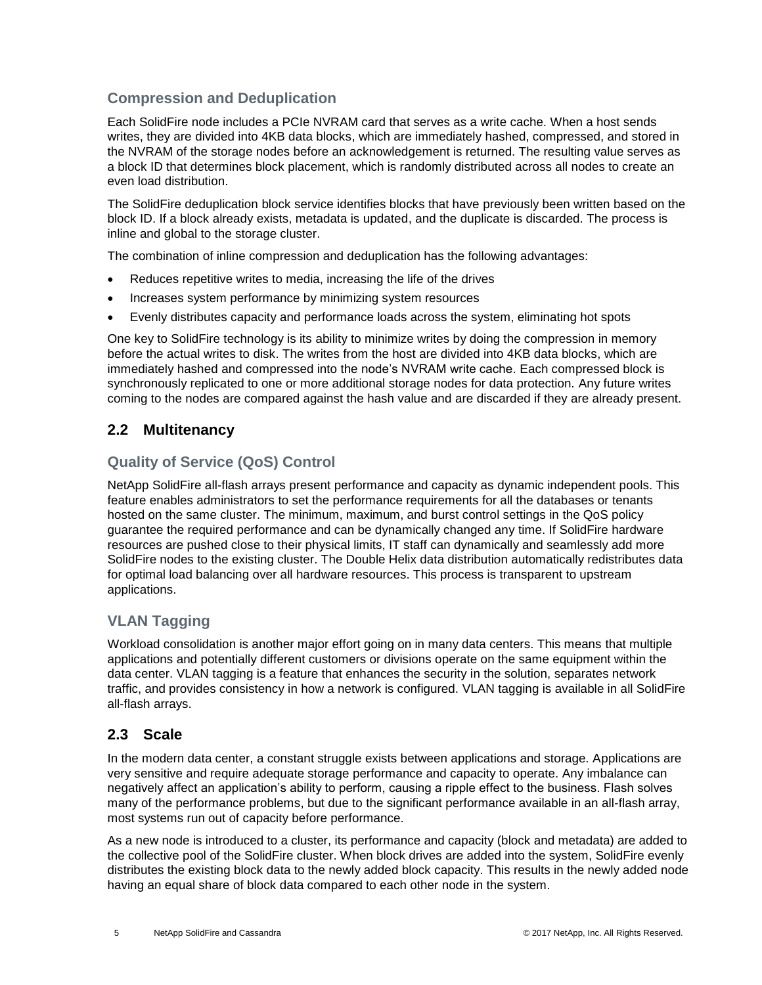## **Compression and Deduplication**

Each SolidFire node includes a PCIe NVRAM card that serves as a write cache. When a host sends writes, they are divided into 4KB data blocks, which are immediately hashed, compressed, and stored in the NVRAM of the storage nodes before an acknowledgement is returned. The resulting value serves as a block ID that determines block placement, which is randomly distributed across all nodes to create an even load distribution.

The SolidFire deduplication block service identifies blocks that have previously been written based on the block ID. If a block already exists, metadata is updated, and the duplicate is discarded. The process is inline and global to the storage cluster.

The combination of inline compression and deduplication has the following advantages:

- Reduces repetitive writes to media, increasing the life of the drives
- Increases system performance by minimizing system resources
- Evenly distributes capacity and performance loads across the system, eliminating hot spots

One key to SolidFire technology is its ability to minimize writes by doing the compression in memory before the actual writes to disk. The writes from the host are divided into 4KB data blocks, which are immediately hashed and compressed into the node's NVRAM write cache. Each compressed block is synchronously replicated to one or more additional storage nodes for data protection. Any future writes coming to the nodes are compared against the hash value and are discarded if they are already present.

#### <span id="page-4-0"></span>**2.2 Multitenancy**

#### **Quality of Service (QoS) Control**

NetApp SolidFire all-flash arrays present performance and capacity as dynamic independent pools. This feature enables administrators to set the performance requirements for all the databases or tenants hosted on the same cluster. The minimum, maximum, and burst control settings in the QoS policy guarantee the required performance and can be dynamically changed any time. If SolidFire hardware resources are pushed close to their physical limits, IT staff can dynamically and seamlessly add more SolidFire nodes to the existing cluster. The Double Helix data distribution automatically redistributes data for optimal load balancing over all hardware resources. This process is transparent to upstream applications.

#### **VLAN Tagging**

Workload consolidation is another major effort going on in many data centers. This means that multiple applications and potentially different customers or divisions operate on the same equipment within the data center. VLAN tagging is a feature that enhances the security in the solution, separates network traffic, and provides consistency in how a network is configured. VLAN tagging is available in all SolidFire all-flash arrays.

#### <span id="page-4-1"></span>**2.3 Scale**

In the modern data center, a constant struggle exists between applications and storage. Applications are very sensitive and require adequate storage performance and capacity to operate. Any imbalance can negatively affect an application's ability to perform, causing a ripple effect to the business. Flash solves many of the performance problems, but due to the significant performance available in an all-flash array, most systems run out of capacity before performance.

As a new node is introduced to a cluster, its performance and capacity (block and metadata) are added to the collective pool of the SolidFire cluster. When block drives are added into the system, SolidFire evenly distributes the existing block data to the newly added block capacity. This results in the newly added node having an equal share of block data compared to each other node in the system.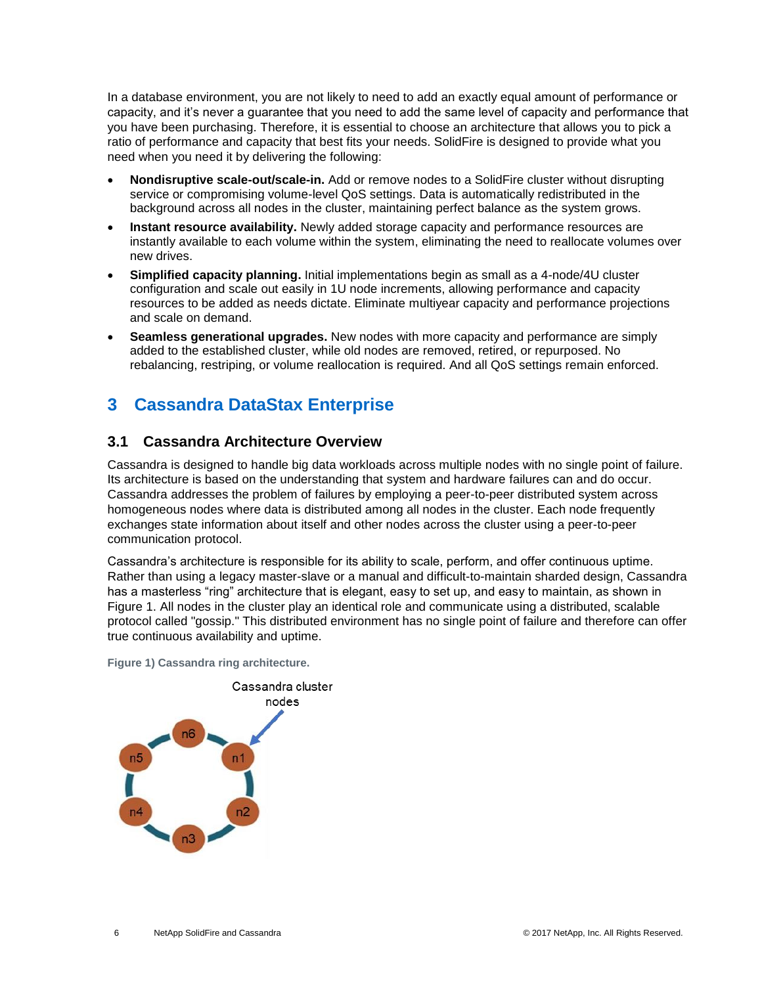In a database environment, you are not likely to need to add an exactly equal amount of performance or capacity, and it's never a guarantee that you need to add the same level of capacity and performance that you have been purchasing. Therefore, it is essential to choose an architecture that allows you to pick a ratio of performance and capacity that best fits your needs. SolidFire is designed to provide what you need when you need it by delivering the following:

- **Nondisruptive scale-out/scale-in.** Add or remove nodes to a SolidFire cluster without disrupting service or compromising volume-level QoS settings. Data is automatically redistributed in the background across all nodes in the cluster, maintaining perfect balance as the system grows.
- **Instant resource availability.** Newly added storage capacity and performance resources are instantly available to each volume within the system, eliminating the need to reallocate volumes over new drives.
- **Simplified capacity planning.** Initial implementations begin as small as a 4-node/4U cluster configuration and scale out easily in 1U node increments, allowing performance and capacity resources to be added as needs dictate. Eliminate multiyear capacity and performance projections and scale on demand.
- **Seamless generational upgrades.** New nodes with more capacity and performance are simply added to the established cluster, while old nodes are removed, retired, or repurposed. No rebalancing, restriping, or volume reallocation is required. And all QoS settings remain enforced.

# <span id="page-5-0"></span>**3 Cassandra DataStax Enterprise**

#### <span id="page-5-1"></span>**3.1 Cassandra Architecture Overview**

Cassandra is designed to handle big data workloads across multiple nodes with no single point of failure. Its architecture is based on the understanding that system and hardware failures can and do occur. Cassandra addresses the problem of failures by employing a peer-to-peer distributed system across homogeneous nodes where data is distributed among all nodes in the cluster. Each node frequently exchanges state information about itself and other nodes across the cluster using a peer-to-peer communication protocol.

Cassandra's architecture is responsible for its ability to scale, perform, and offer continuous uptime. Rather than using a legacy master-slave or a manual and difficult-to-maintain sharded design, Cassandra has a masterless "ring" architecture that is elegant, easy to set up, and easy to maintain, as shown in Figure 1. All nodes in the cluster play an identical role and communicate using a distributed, scalable protocol called "gossip." This distributed environment has no single point of failure and therefore can offer true continuous availability and uptime.

<span id="page-5-2"></span>**Figure 1) Cassandra ring architecture.** 

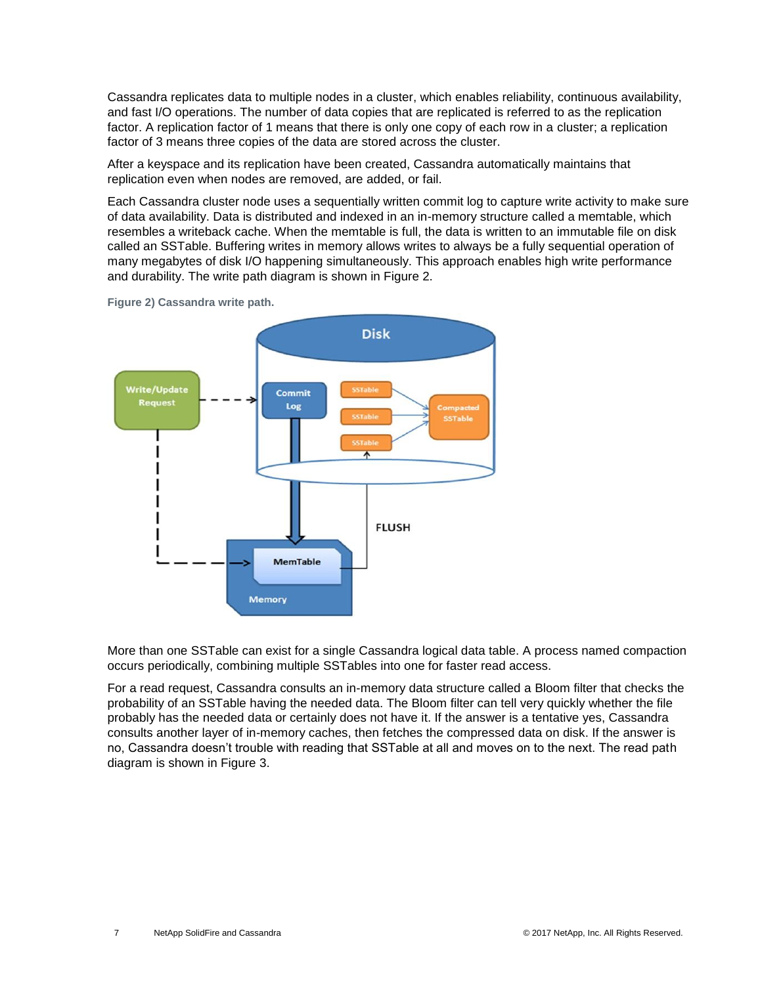Cassandra replicates data to multiple nodes in a cluster, which enables reliability, continuous availability, and fast I/O operations. The number of data copies that are replicated is referred to as the replication factor. A replication factor of 1 means that there is only one copy of each row in a cluster; a replication factor of 3 means three copies of the data are stored across the cluster.

After a keyspace and its replication have been created, Cassandra automatically maintains that replication even when nodes are removed, are added, or fail.

Each Cassandra cluster node uses a sequentially written commit log to capture write activity to make sure of data availability. Data is distributed and indexed in an in-memory structure called a memtable, which resembles a writeback cache. When the memtable is full, the data is written to an immutable file on disk called an SSTable. Buffering writes in memory allows writes to always be a fully sequential operation of many megabytes of disk I/O happening simultaneously. This approach enables high write performance and durability. The write path diagram is shown in Figure 2.



<span id="page-6-0"></span>**Figure 2) Cassandra write path.** 

More than one SSTable can exist for a single Cassandra logical data table. A process named compaction occurs periodically, combining multiple SSTables into one for faster read access.

For a read request, Cassandra consults an in-memory data structure called a [Bloom filter](http://en.wikipedia.org/wiki/Bloom_filter) [t](http://en.wikipedia.org/wiki/Bloom_filter)hat checks the probability of an SSTable having the needed data. The Bloom filter can tell very quickly whether the file probably has the needed data or certainly does not have it. If the answer is a tentative yes, Cassandra consults another layer of in-memory caches, then fetches the compressed data on disk. If the answer is no, Cassandra doesn't trouble with reading that SSTable at all and moves on to the next. The read path diagram is shown in Figure 3.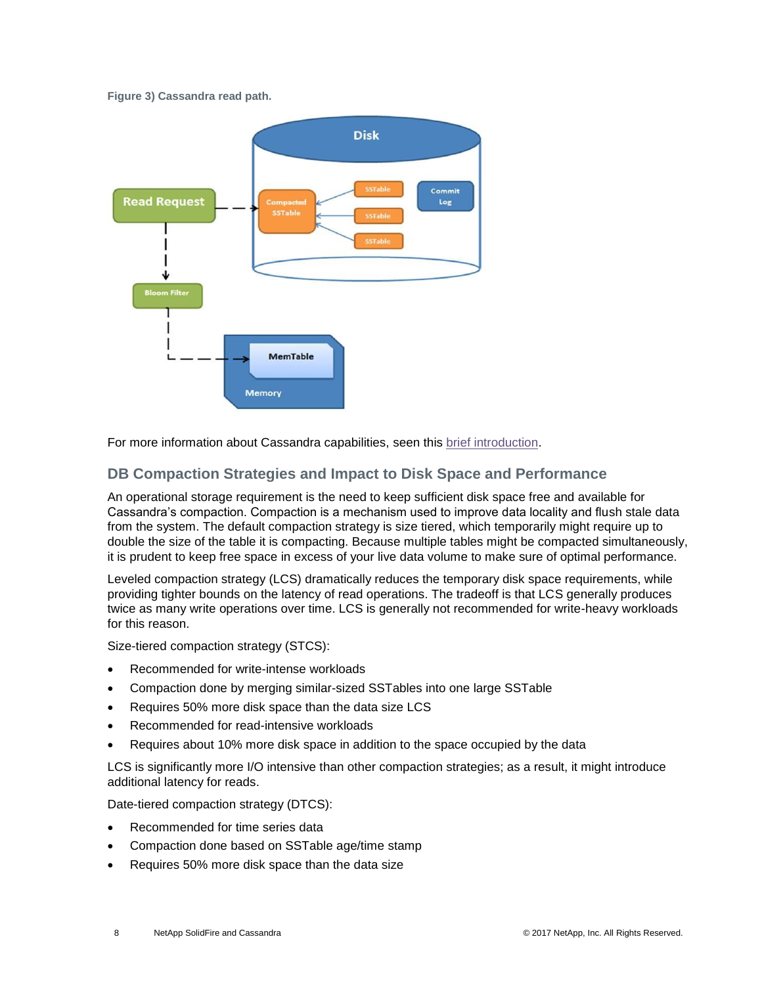#### <span id="page-7-0"></span>**Figure 3) Cassandra read path.**



For more information about Cassandra capabilities, seen this [brief introduction.](https://academy.datastax.com/resources/brief-introduction-apache-cassandra)

#### **DB Compaction Strategies and Impact to Disk Space and Performance**

An operational storage requirement is the need to keep sufficient disk space free and available for Cassandra's compaction. Compaction is a mechanism used to improve data locality and flush stale data from the system. The default compaction strategy is size tiered, which temporarily might require up to double the size of the table it is compacting. Because multiple tables might be compacted simultaneously, it is prudent to keep free space in excess of your live data volume to make sure of optimal performance.

Leveled compaction strategy (LCS) dramatically reduces the temporary disk space requirements, while providing tighter bounds on the latency of read operations. The tradeoff is that LCS generally produces twice as many write operations over time. LCS is generally not recommended for write-heavy workloads for this reason.

Size-tiered compaction strategy (STCS):

- Recommended for write-intense workloads
- Compaction done by merging similar-sized SSTables into one large SSTable
- Requires 50% more disk space than the data size LCS
- Recommended for read-intensive workloads
- Requires about 10% more disk space in addition to the space occupied by the data

LCS is significantly more I/O intensive than other compaction strategies; as a result, it might introduce additional latency for reads.

Date-tiered compaction strategy (DTCS):

- Recommended for time series data
- Compaction done based on SSTable age/time stamp
- Requires 50% more disk space than the data size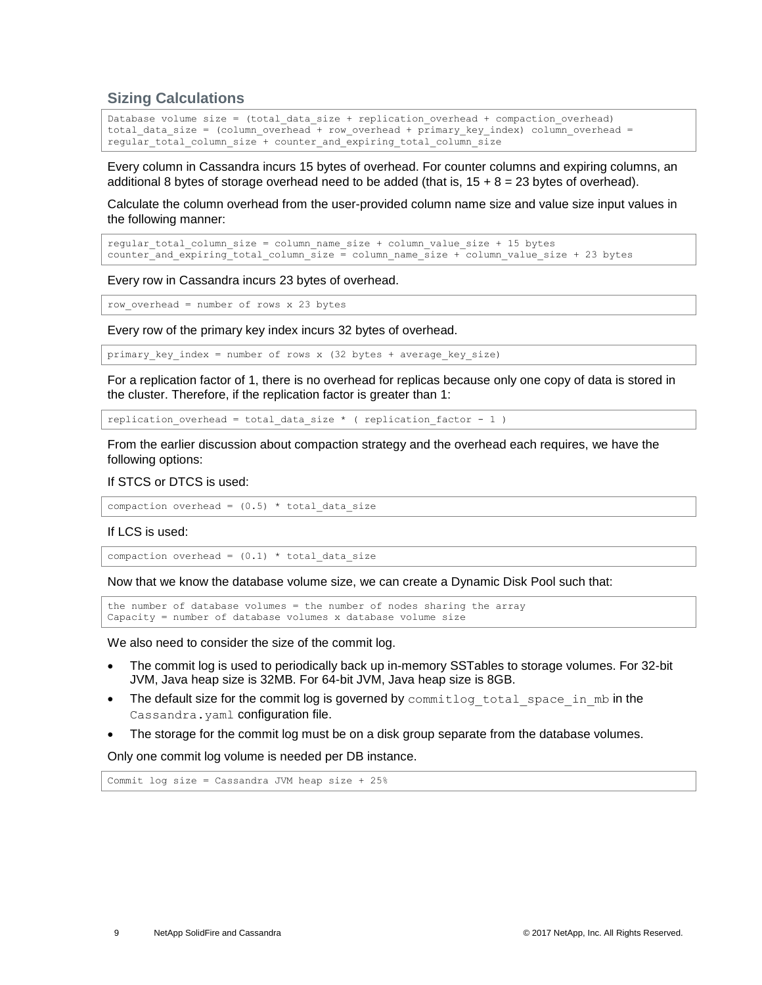#### **Sizing Calculations**

```
Database volume size = (total_data_size + replication_overhead + compaction_overhead) 
total data size = (column overhead + row overhead + primary key index) column overhead =
regular total column size + counter and expiring total column size
```
Every column in Cassandra incurs 15 bytes of overhead. For counter columns and expiring columns, an additional 8 bytes of storage overhead need to be added (that is,  $15 + 8 = 23$  bytes of overhead).

Calculate the column overhead from the user-provided column name size and value size input values in the following manner:

```
regular total column size = column name size + column value size + 15 bytes
counter and expiring total column size = column name size + column value size + 23 bytes
```
Every row in Cassandra incurs 23 bytes of overhead.

row\_overhead = number of rows x 23 bytes

Every row of the primary key index incurs 32 bytes of overhead.

primary key index = number of rows x (32 bytes + average key size)

For a replication factor of 1, there is no overhead for replicas because only one copy of data is stored in the cluster. Therefore, if the replication factor is greater than 1:

replication overhead = total data size \* ( replication factor - 1 )

From the earlier discussion about compaction strategy and the overhead each requires, we have the following options:

#### If STCS or DTCS is used:

```
compaction overhead = (0.5) * total_data_size
```
#### If LCS is used:

```
compaction overhead = (0.1) * total data size
```
Now that we know the database volume size, we can create a Dynamic Disk Pool such that:

the number of database volumes = the number of nodes sharing the array Capacity = number of database volumes x database volume size

We also need to consider the size of the commit log.

- The commit log is used to periodically back up in-memory SSTables to storage volumes. For 32-bit JVM, Java heap size is 32MB. For 64-bit JVM, Java heap size is 8GB.
- The default size for the commit log is governed by commitlog total space in mb in the Cassandra. yaml configuration file.
- The storage for the commit log must be on a disk group separate from the database volumes.

Only one commit log volume is needed per DB instance.

Commit log size = Cassandra JVM heap size + 25%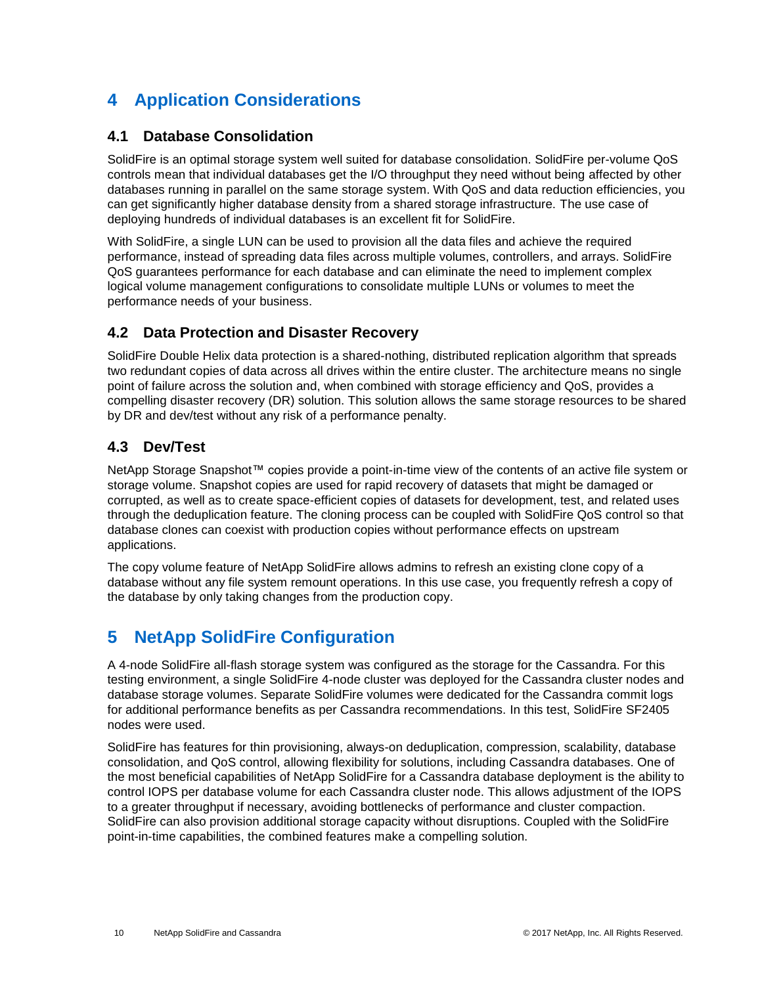# <span id="page-9-0"></span>**4 Application Considerations**

#### <span id="page-9-1"></span>**4.1 Database Consolidation**

SolidFire is an optimal storage system well suited for database consolidation. SolidFire per-volume QoS controls mean that individual databases get the I/O throughput they need without being affected by other databases running in parallel on the same storage system. With QoS and data reduction efficiencies, you can get significantly higher database density from a shared storage infrastructure. The use case of deploying hundreds of individual databases is an excellent fit for SolidFire.

With SolidFire, a single LUN can be used to provision all the data files and achieve the required performance, instead of spreading data files across multiple volumes, controllers, and arrays. SolidFire QoS guarantees performance for each database and can eliminate the need to implement complex logical volume management configurations to consolidate multiple LUNs or volumes to meet the performance needs of your business.

## <span id="page-9-2"></span>**4.2 Data Protection and Disaster Recovery**

SolidFire Double Helix data protection is a shared-nothing, distributed replication algorithm that spreads two redundant copies of data across all drives within the entire cluster. The architecture means no single point of failure across the solution and, when combined with storage efficiency and QoS, provides a compelling disaster recovery (DR) solution. This solution allows the same storage resources to be shared by DR and dev/test without any risk of a performance penalty.

## <span id="page-9-3"></span>**4.3 Dev/Test**

NetApp Storage Snapshot™ copies provide a point-in-time view of the contents of an active file system or storage volume. Snapshot copies are used for rapid recovery of datasets that might be damaged or corrupted, as well as to create space-efficient copies of datasets for development, test, and related uses through the deduplication feature. The cloning process can be coupled with SolidFire QoS control so that database clones can coexist with production copies without performance effects on upstream applications.

The copy volume feature of NetApp SolidFire allows admins to refresh an existing clone copy of a database without any file system remount operations. In this use case, you frequently refresh a copy of the database by only taking changes from the production copy.

# <span id="page-9-4"></span>**5 NetApp SolidFire Configuration**

A 4-node SolidFire all-flash storage system was configured as the storage for the Cassandra. For this testing environment, a single SolidFire 4-node cluster was deployed for the Cassandra cluster nodes and database storage volumes. Separate SolidFire volumes were dedicated for the Cassandra commit logs for additional performance benefits as per Cassandra recommendations. In this test, SolidFire SF2405 nodes were used.

SolidFire has features for thin provisioning, always-on deduplication, compression, scalability, database consolidation, and QoS control, allowing flexibility for solutions, including Cassandra databases. One of the most beneficial capabilities of NetApp SolidFire for a Cassandra database deployment is the ability to control IOPS per database volume for each Cassandra cluster node. This allows adjustment of the IOPS to a greater throughput if necessary, avoiding bottlenecks of performance and cluster compaction. SolidFire can also provision additional storage capacity without disruptions. Coupled with the SolidFire point-in-time capabilities, the combined features make a compelling solution.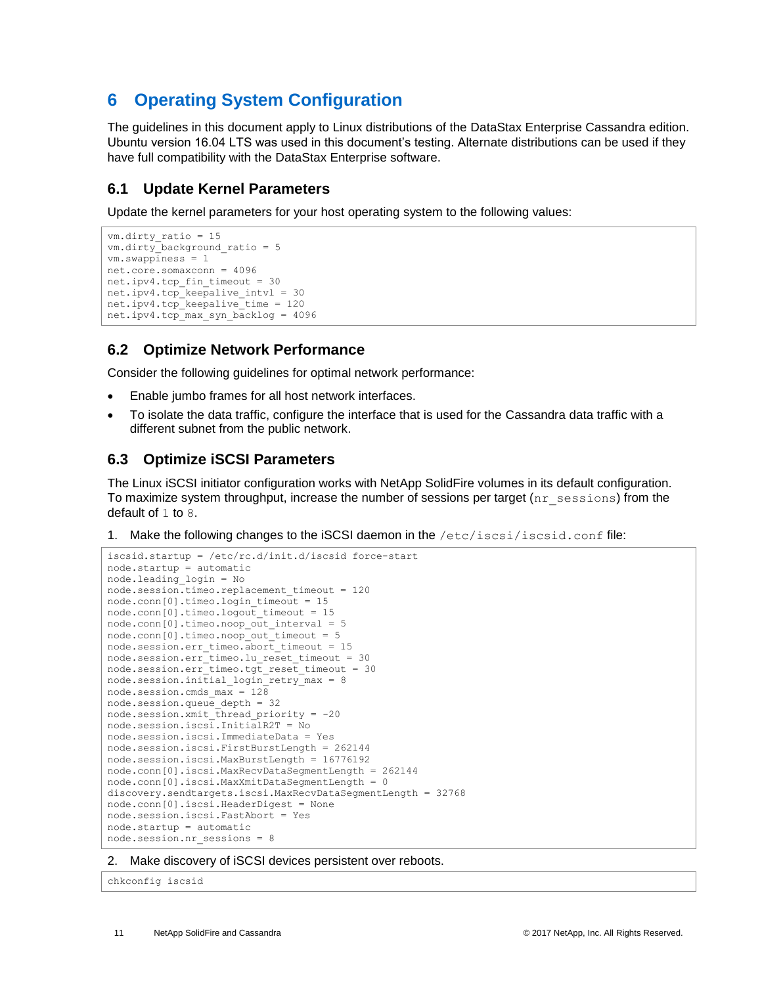# <span id="page-10-0"></span>**6 Operating System Configuration**

The guidelines in this document apply to Linux distributions of the DataStax Enterprise Cassandra edition. Ubuntu version 16.04 LTS was used in this document's testing. Alternate distributions can be used if they have full compatibility with the DataStax Enterprise software.

## <span id="page-10-1"></span>**6.1 Update Kernel Parameters**

Update the kernel parameters for your host operating system to the following values:

```
vm.dirty_ratio = 15
vm.dirty_background_ratio = 5
vm.swappiness = 1
net.core.somaxconn = 4096
net.ipv4.tcp_fin_timeout = 30
net.jpg.top keepalive intvl = 30net.ipv4.tcp_keepalive_time = 120
net.ipv4.tcp_max_syn_backlog = 4096
```
## <span id="page-10-2"></span>**6.2 Optimize Network Performance**

Consider the following guidelines for optimal network performance:

- Enable jumbo frames for all host network interfaces.
- To isolate the data traffic, configure the interface that is used for the Cassandra data traffic with a different subnet from the public network.

## <span id="page-10-3"></span>**6.3 Optimize iSCSI Parameters**

The Linux iSCSI initiator configuration works with NetApp SolidFire volumes in its default configuration. To maximize system throughput, increase the number of sessions per target  $(nr_s$  sessions) from the default of 1 to 8.

1. Make the following changes to the iSCSI daemon in the /etc/iscsi/iscsid.conf file:

```
iscsid.startup = /etc/rc.d/init.d/iscsid force-start
node.startup = automatic
node.leading_login = No
node.session.timeo.replacement_timeout = 120
node.conn[0].timeo.login_timeout = 15
node.conn[0].timeo.logout_timeout = 15
node.com[0].timeo.noop out interval = 5node.conn[0].timeo.noop_out_timeout = 5
node.session.err timeo.abort timeout = 15
node.session.err_timeo.lu_reset_timeout = 30
node.session.err_timeo.tgt_reset_timeout = 30
node.session.initial login retry max = 8
node.session.cmds_max = 128
node.Session.queue<sub>q</sub> depth = 32node.session.xmit_thread_priority = -20
node.session.iscsi.InitialR2T = No
node.session.iscsi.ImmediateData = Yes
node.session.iscsi.FirstBurstLength = 262144
node.session.iscsi.MaxBurstLength = 16776192
node.conn[0].iscsi.MaxRecvDataSegmentLength = 262144
node.conn[0].iscsi.MaxXmitDataSegmentLength = 0
discovery.sendtargets.iscsi.MaxRecvDataSegmentLength = 32768
node.conn[0].iscsi.HeaderDigest = None
node.session.iscsi.FastAbort = Yes
node.startup = automatic
node.session.nr_sessions = 8
```
2. Make discovery of iSCSI devices persistent over reboots.

chkconfig iscsid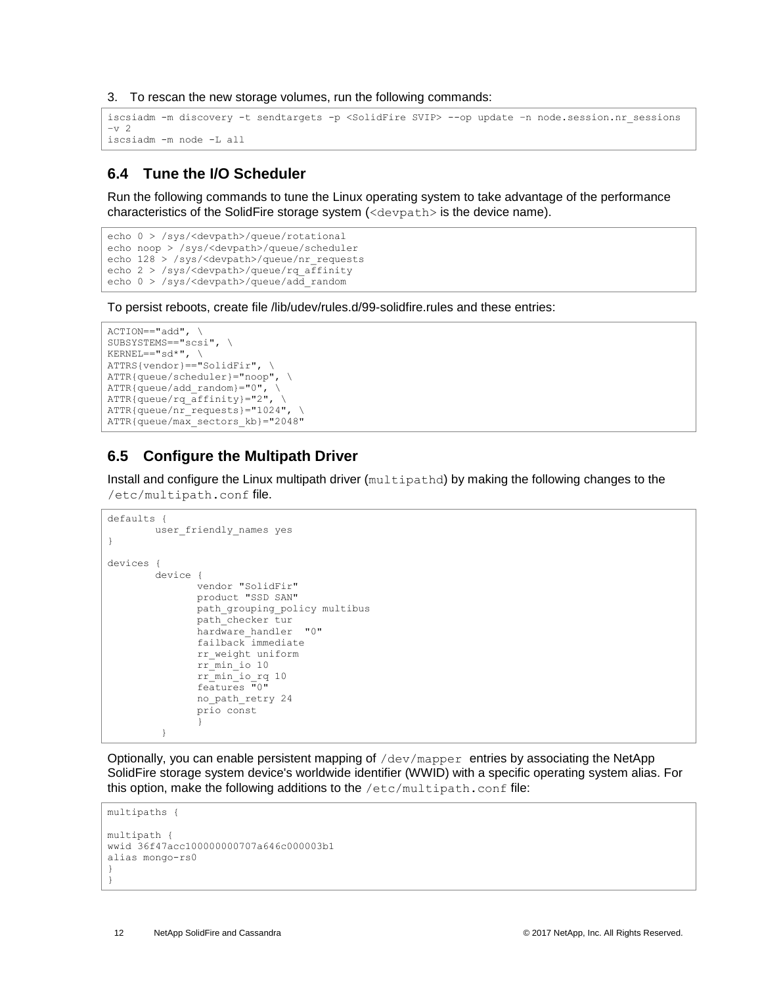3. To rescan the new storage volumes, run the following commands:

```
iscsiadm -m discovery -t sendtargets -p <SolidFire SVIP> --op update –n node.session.nr_sessions
-v 2
iscsiadm -m node -L all
```
#### <span id="page-11-0"></span>**6.4 Tune the I/O Scheduler**

Run the following commands to tune the Linux operating system to take advantage of the performance characteristics of the SolidFire storage system (<devpath> is the device name).

```
echo 0 > /sys/<devpath>/queue/rotational 
echo noop > /sys/<devpath>/queue/scheduler 
echo 128 > /sys/<devpath>/queue/nr_requests 
echo 2 > /sys/<devpath>/queue/rq_affinity 
echo 0 > /sys/<devpath>/queue/add_random
```
To persist reboots, create file /lib/udev/rules.d/99-solidfire.rules and these entries:

```
ACTION=="add", \ \ \ \ \ \SUBSYSTEMS=="scsi", \
KERNEL=="sd*", \
ATTRS{vendor} == "SolidFix", \ \ \ \ \ATTR{queue/scheduler}="noop", \
ATTR{queue/add random}="0", \ \ \ \ \ \ATTR{queue/rq_affinity}="2", \
ATTR{queue/nr_requests}="1024", \
ATTR{queue/max_sectors_kb}="2048"
```
## <span id="page-11-1"></span>**6.5 Configure the Multipath Driver**

Install and configure the Linux multipath driver (multipathd) by making the following changes to the /etc/multipath.conf file.

```
defaults {
        user friendly names yes
}
devices {
         device {
               vendor "SolidFir" 
               product "SSD SAN"
                path_grouping_policy multibus 
               path_checker tur 
               hardware handler "0"
                failback immediate
               rr_weight uniform 
               rr_min_io 10
                rr_min_io_rq 10
               features "0"
               no_path_retry 24 
               prio const
 }
          }
```
Optionally, you can enable persistent mapping of  $/\text{dev/mapper}$  entries by associating the NetApp SolidFire storage system device's worldwide identifier (WWID) with a specific operating system alias. For this option, make the following additions to the  $/etc/multi$  multipath.conf file:

```
multipaths {
multipath {
wwid 36f47acc100000000707a646c000003b1
alias mongo-rs0
}
}
```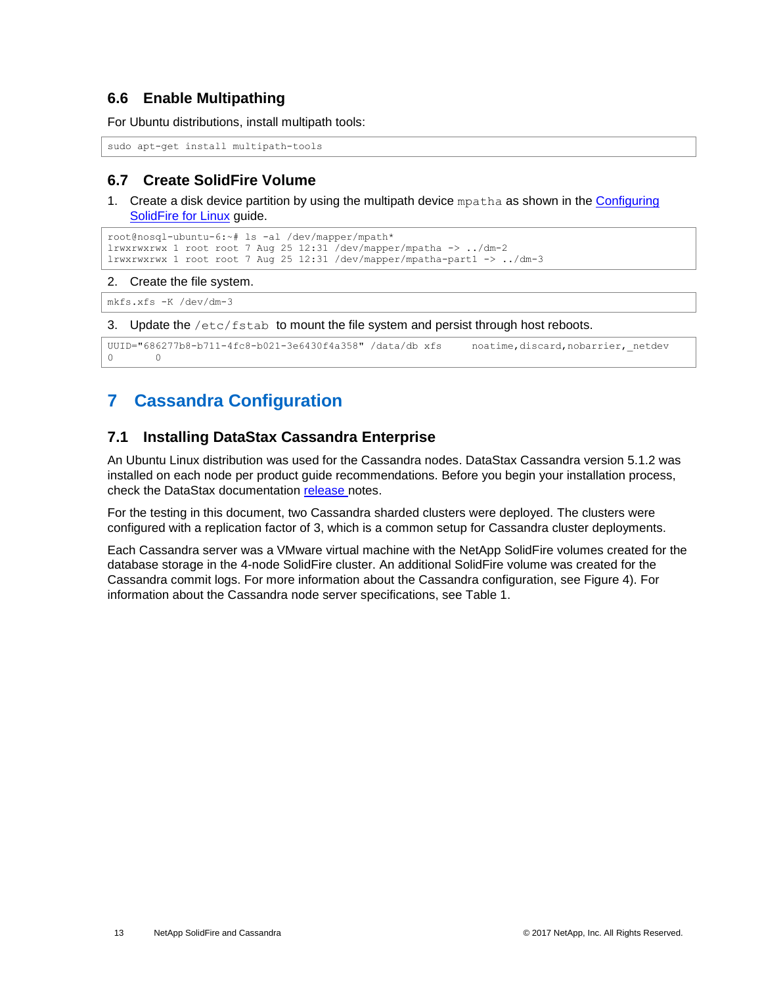#### <span id="page-12-0"></span>**6.6 Enable Multipathing**

For Ubuntu distributions, install multipath tools:

```
sudo apt-get install multipath-tools
```
## <span id="page-12-1"></span>**6.7 Create SolidFire Volume**

1. Create a disk device partition by using the multipath device mpatha as shown in the Configuring [SolidFire for Linux](https://fieldportal.netapp.com/content/468085?assetComponentId=468761) guide.

```
root@nosql-ubuntu-6:~# ls -al /dev/mapper/mpath*
lrwxrwxrwx 1 root root 7 Aug 25 12:31 /dev/mapper/mpatha \rightarrow ../dm-2
lrwxrwxrwx 1 root root 7 Aug 25 12:31 /dev/mapper/mpatha-part1 -> ../dm-3
```
#### 2. Create the file system.

```
mkfs.xfs -K /dev/dm-3
```
3. Update the /etc/fstab to mount the file system and persist through host reboots.

```
UUID="686277b8-b711-4fc8-b021-3e6430f4a358" /data/db xfs noatime,discard,nobarrier, netdev
0 0
```
# <span id="page-12-2"></span>**7 Cassandra Configuration**

#### <span id="page-12-3"></span>**7.1 Installing DataStax Cassandra Enterprise**

An Ubuntu Linux distribution was used for the Cassandra nodes. DataStax Cassandra version 5.1.2 was installed on each node per product guide recommendations. Before you begin your installation process, check the DataStax documentation [release](http://docs.datastax.com/en/dse/5.1/dse-admin/datastax_enterprise/releaseNotes/RNdse.html#RNdse512) notes.

For the testing in this document, two Cassandra sharded clusters were deployed. The clusters were configured with a replication factor of 3, which is a common setup for Cassandra cluster deployments.

Each Cassandra server was a VMware virtual machine with the NetApp SolidFire volumes created for the database storage in the 4-node SolidFire cluster. An additional SolidFire volume was created for the Cassandra commit logs. For more information about the Cassandra configuration, see [Figure 4\).](#page-13-1) For information about the Cassandra node server specifications, see [Table 1.](#page-14-1)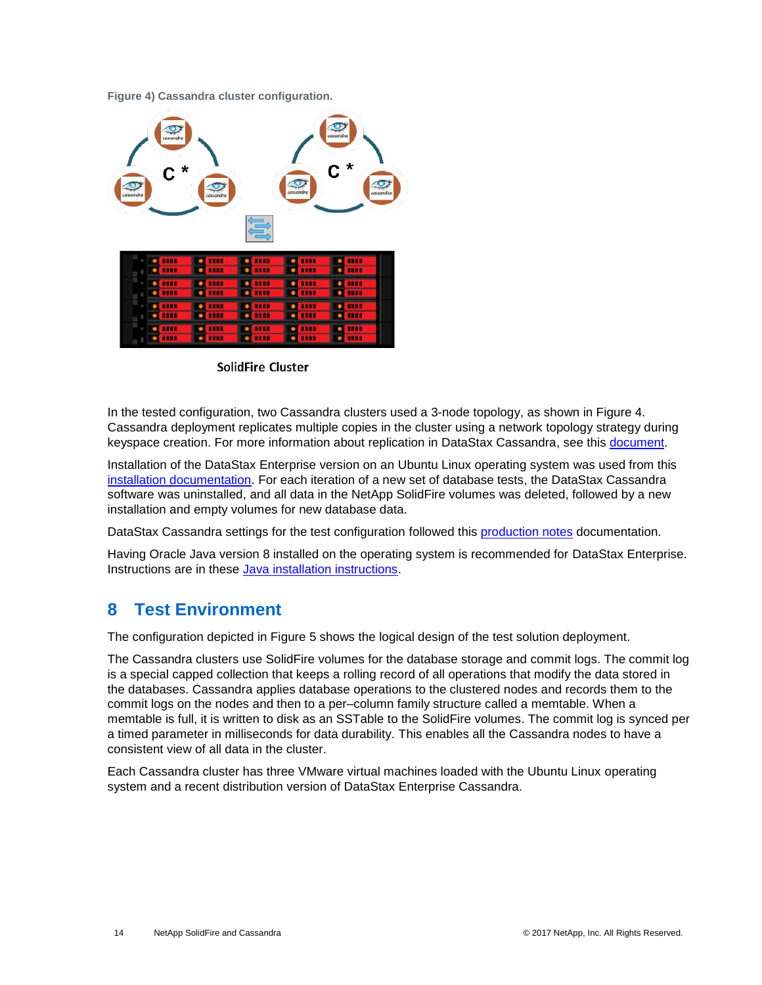#### <span id="page-13-1"></span>**Figure 4) Cassandra cluster configuration.**



SolidFire Cluster

In the tested configuration, two Cassandra clusters used a 3-node topology, as shown in Figure 4. Cassandra deployment replicates multiple copies in the cluster using a network topology strategy during keyspace creation. For more information about replication in DataStax Cassandra, see this [document.](http://docs.datastax.com/en/cassandra/2.1/cassandra/architecture/architectureDataDistributeReplication_c.html)

Installation of the DataStax Enterprise version on an Ubuntu Linux operating system was used from this [installation documentation.](http://docs.datastax.com/en/dse/5.1/dse-admin/datastax_enterprise/install/installDEBdse.html) For each iteration of a new set of database tests, the DataStax Cassandra software was uninstalled, and all data in the NetApp SolidFire volumes was deleted, followed by a new installation and empty volumes for new database data.

DataStax Cassandra settings for the test configuration followed this [production notes](http://docs.datastax.com/en/dse/5.1/dse-admin/datastax_enterprise/config/configRecommendedSettings.html) documentation.

Having Oracle Java version 8 installed on the operating system is recommended for DataStax Enterprise. Instructions are in these [Java installation instructions.](http://docs.datastax.com/en/dse/5.1/dse-admin/datastax_enterprise/install/installJdkDeb.html)

## <span id="page-13-0"></span>**8 Test Environment**

The configuration depicted in Figure 5 shows the logical design of the test solution deployment.

The Cassandra clusters use SolidFire volumes for the database storage and commit logs. The commit log is a special capped collection that keeps a rolling record of all operations that modify the data stored in the databases. Cassandra applies database operations to the clustered nodes and records them to the commit logs on the nodes and then to a per–column family structure called a memtable. When a memtable is full, it is written to disk as an SSTable to the SolidFire volumes. The commit log is synced per a timed parameter in milliseconds for data durability. This enables all the Cassandra nodes to have a consistent view of all data in the cluster.

Each Cassandra cluster has three VMware virtual machines loaded with the Ubuntu Linux operating system and a recent distribution version of DataStax Enterprise Cassandra.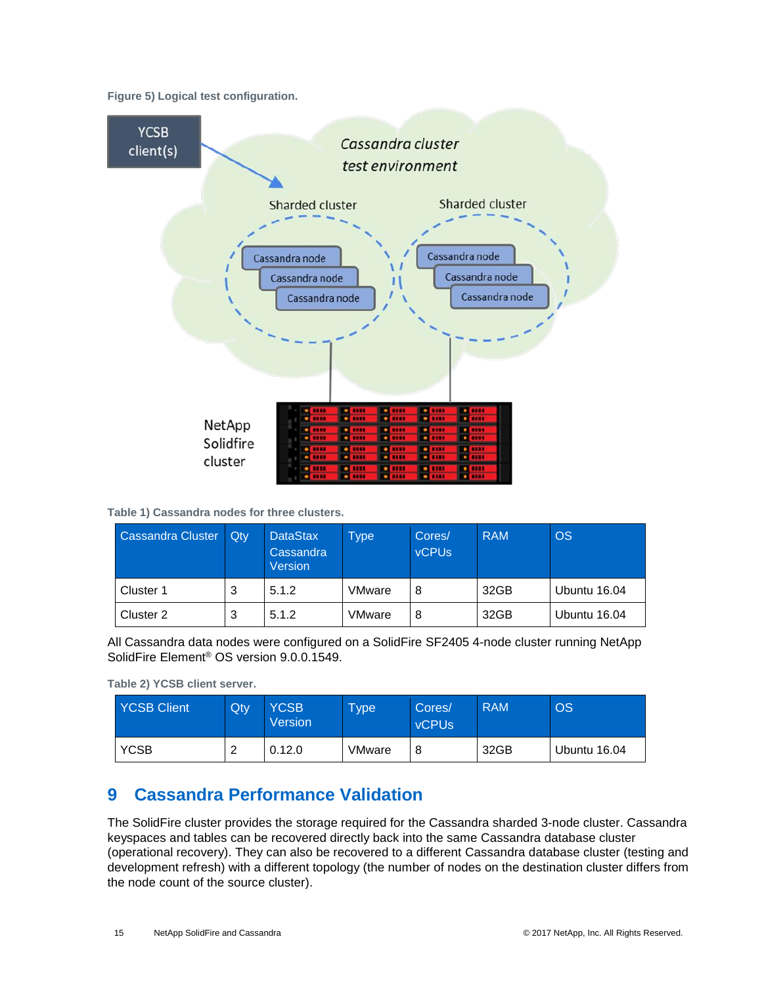<span id="page-14-3"></span>**Figure 5) Logical test configuration.**



<span id="page-14-1"></span>**Table 1) Cassandra nodes for three clusters.**

| Cassandra Cluster | Qtv | <b>DataStax</b><br>Cassandra<br>Version | Type <sup>1</sup> | Cores/<br><b>vCPUs</b> | <b>RAM</b> | <b>OS</b>    |
|-------------------|-----|-----------------------------------------|-------------------|------------------------|------------|--------------|
| Cluster 1         | 3   | 5.1.2                                   | <b>VMware</b>     | 8                      | 32GB       | Ubuntu 16.04 |
| Cluster 2         | 3   | 5.1.2                                   | VMware            | 8                      | 32GB       | Ubuntu 16.04 |

All Cassandra data nodes were configured on a SolidFire SF2405 4-node cluster running NetApp SolidFire Element® OS version 9.0.0.1549.

<span id="page-14-2"></span>**Table 2) YCSB client server.**

| <b>YCSB Client</b> | Qty | <b>YCSB</b><br>Version | <b>Type</b> | Cores/<br><b>vCPUs</b> | <b>RAM</b> | <b>OS</b>    |
|--------------------|-----|------------------------|-------------|------------------------|------------|--------------|
| <b>YCSB</b>        |     | 0.12.0                 | VMware      | 8                      | 32GB       | Ubuntu 16.04 |

## <span id="page-14-0"></span>**9 Cassandra Performance Validation**

The SolidFire cluster provides the storage required for the Cassandra sharded 3-node cluster. Cassandra keyspaces and tables can be recovered directly back into the same Cassandra database cluster (operational recovery). They can also be recovered to a different Cassandra database cluster (testing and development refresh) with a different topology (the number of nodes on the destination cluster differs from the node count of the source cluster).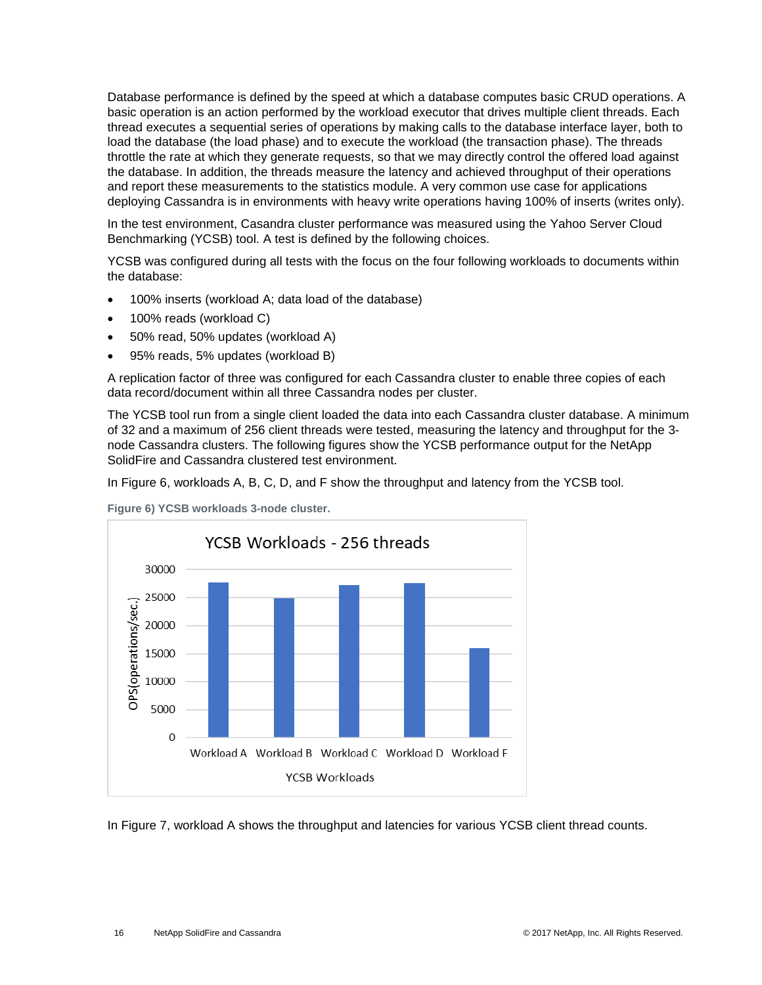Database performance is defined by the speed at which a database computes basic CRUD operations. A basic operation is an action performed by the workload executor that drives multiple client threads. Each thread executes a sequential series of operations by making calls to the database interface layer, both to load the database (the load phase) and to execute the workload (the transaction phase). The threads throttle the rate at which they generate requests, so that we may directly control the offered load against the database. In addition, the threads measure the latency and achieved throughput of their operations and report these measurements to the statistics module. A very common use case for applications deploying Cassandra is in environments with heavy write operations having 100% of inserts (writes only).

In the test environment, Casandra cluster performance was measured using the Yahoo Server Cloud Benchmarking (YCSB) tool. A test is defined by the following choices.

YCSB was configured during all tests with the focus on the four following workloads to documents within the database:

- 100% inserts (workload A; data load of the database)
- 100% reads (workload C)
- 50% read, 50% updates (workload A)
- 95% reads, 5% updates (workload B)

A replication factor of three was configured for each Cassandra cluster to enable three copies of each data record/document within all three Cassandra nodes per cluster.

The YCSB tool run from a single client loaded the data into each Cassandra cluster database. A minimum of 32 and a maximum of 256 client threads were tested, measuring the latency and throughput for the 3 node Cassandra clusters. The following figures show the YCSB performance output for the NetApp SolidFire and Cassandra clustered test environment.

In Figure 6, workloads A, B, C, D, and F show the throughput and latency from the YCSB tool.



<span id="page-15-0"></span>

In Figure 7, workload A shows the throughput and latencies for various YCSB client thread counts.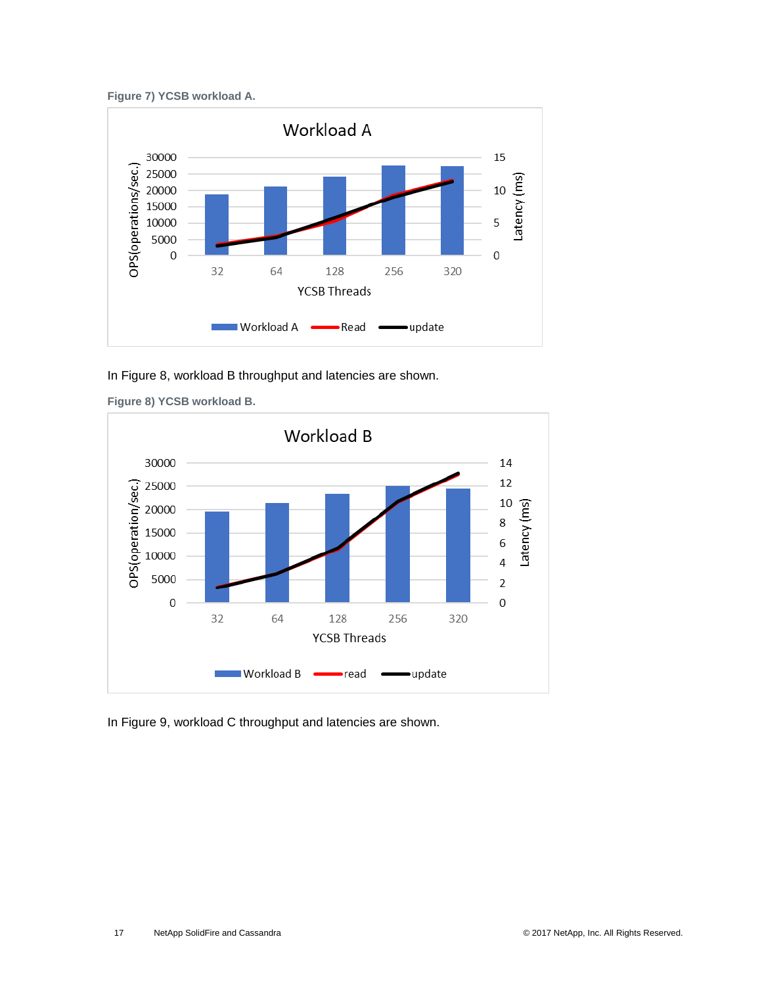<span id="page-16-0"></span>



In Figure 8, workload B throughput and latencies are shown.



<span id="page-16-1"></span>**Figure 8) YCSB workload B.**

In Figure 9, workload C throughput and latencies are shown.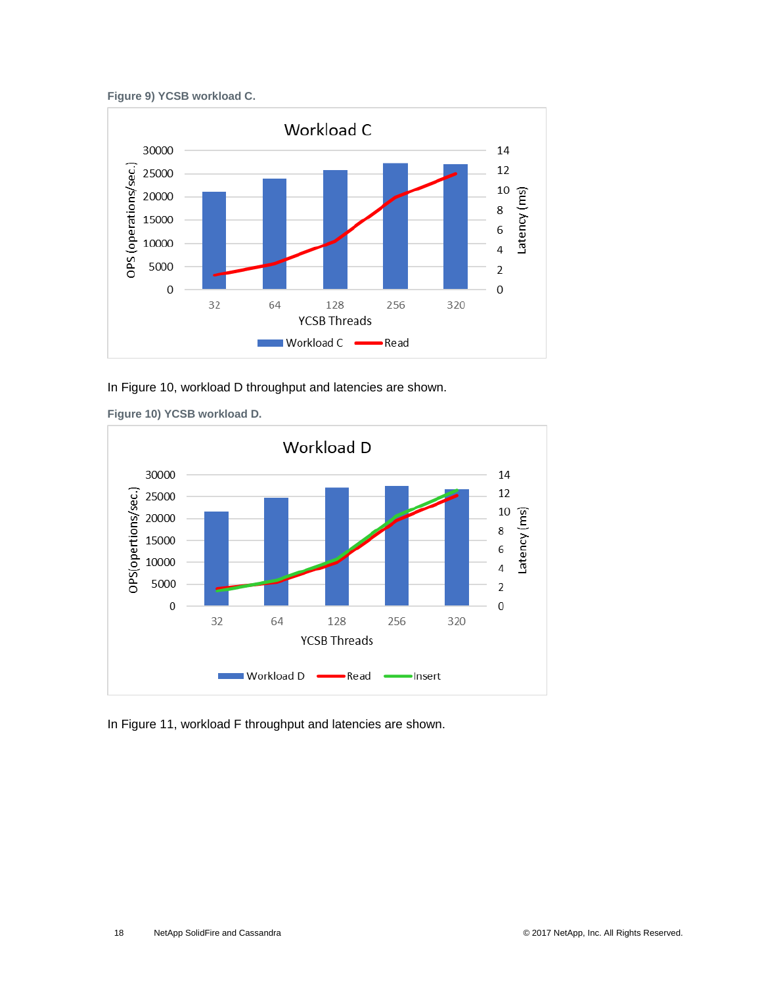<span id="page-17-0"></span>



In Figure 10, workload D throughput and latencies are shown.



<span id="page-17-1"></span>**Figure 10) YCSB workload D.**

In [Figure 1](#page-18-1)1, workload F throughput and latencies are shown.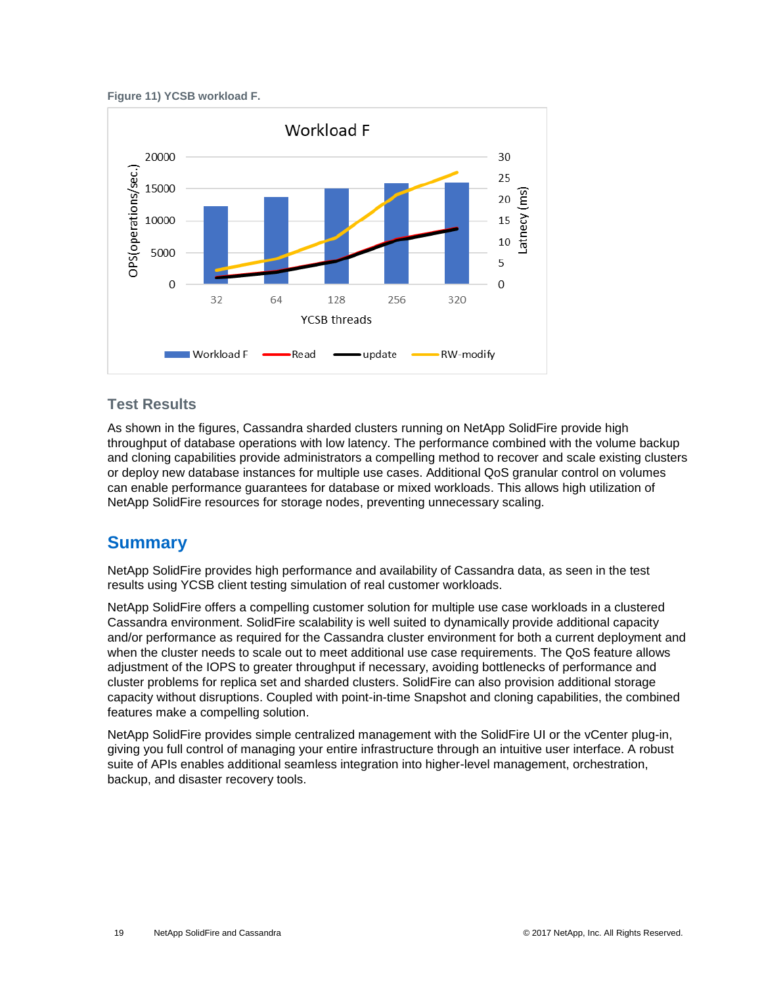#### <span id="page-18-1"></span>**Figure 11) YCSB workload F.**



#### **Test Results**

As shown in the figures, Cassandra sharded clusters running on NetApp SolidFire provide high throughput of database operations with low latency. The performance combined with the volume backup and cloning capabilities provide administrators a compelling method to recover and scale existing clusters or deploy new database instances for multiple use cases. Additional QoS granular control on volumes can enable performance guarantees for database or mixed workloads. This allows high utilization of NetApp SolidFire resources for storage nodes, preventing unnecessary scaling.

## <span id="page-18-0"></span>**Summary**

NetApp SolidFire provides high performance and availability of Cassandra data, as seen in the test results using YCSB client testing simulation of real customer workloads.

NetApp SolidFire offers a compelling customer solution for multiple use case workloads in a clustered Cassandra environment. SolidFire scalability is well suited to dynamically provide additional capacity and/or performance as required for the Cassandra cluster environment for both a current deployment and when the cluster needs to scale out to meet additional use case requirements. The QoS feature allows adjustment of the IOPS to greater throughput if necessary, avoiding bottlenecks of performance and cluster problems for replica set and sharded clusters. SolidFire can also provision additional storage capacity without disruptions. Coupled with point-in-time Snapshot and cloning capabilities, the combined features make a compelling solution.

NetApp SolidFire provides simple centralized management with the SolidFire UI or the vCenter plug-in, giving you full control of managing your entire infrastructure through an intuitive user interface. A robust suite of APIs enables additional seamless integration into higher-level management, orchestration, backup, and disaster recovery tools.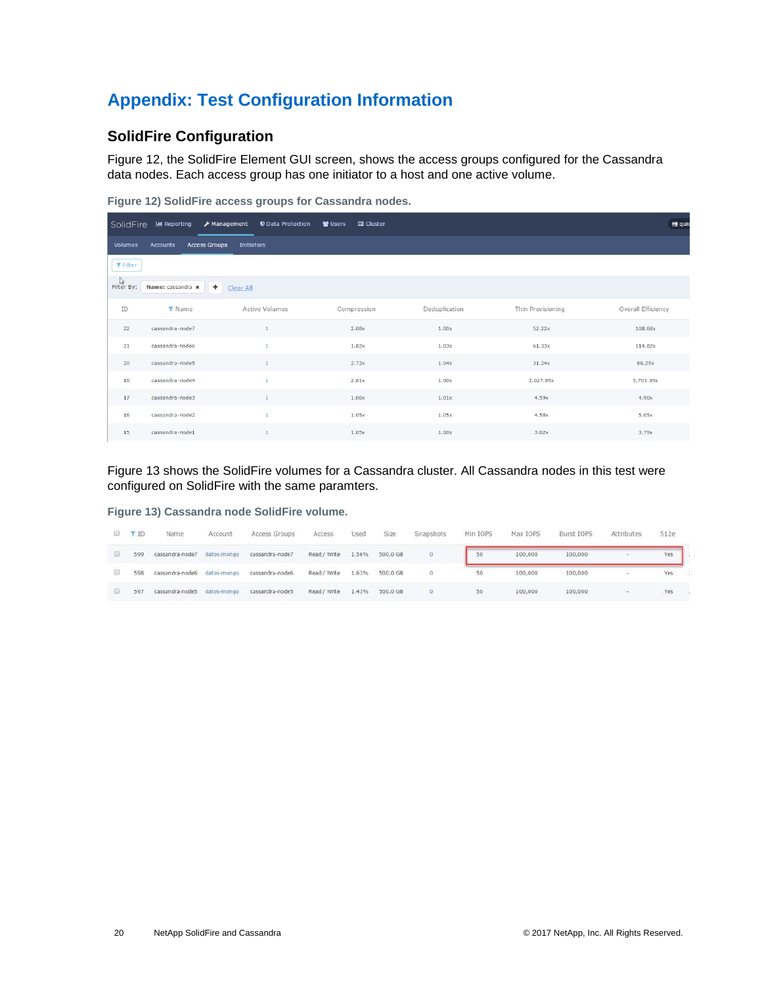# <span id="page-19-0"></span>**Appendix: Test Configuration Information**

#### <span id="page-19-1"></span>**SolidFire Configuration**

Figure 12, the SolidFire Element GUI screen, shows the access groups configured for the Cassandra data nodes. Each access group has one initiator to a host and one active volume.

<span id="page-19-2"></span>**Figure 12) SolidFire access groups for Cassandra nodes.**

| SolidFire         | <b>III</b> Reporting | F Management<br><b>U</b> Data Protection | 발 Users<br>discussion |               |                          | $\equiv$ quie             |
|-------------------|----------------------|------------------------------------------|-----------------------|---------------|--------------------------|---------------------------|
| Volumes           | Accounts             | <b>Access Groups</b><br>Initiators       |                       |               |                          |                           |
| $T$ Filter        |                      |                                          |                       |               |                          |                           |
| ्रि<br>Filter By: | Name: cassandra x    | ٠<br>Clear All                           |                       |               |                          |                           |
| ID                | <b>T</b> Name        | <b>Active Volumes</b>                    | Compression           | Deduplication | <b>Thin Provisioning</b> | <b>Overall Efficiency</b> |
| 22                | cassandra-node7      | $\mathbf{1}$                             | 2.08x                 | 1.00x         | 52.22x                   | 108.68x                   |
| 21                | cassandra-node6      | $\mathbf{1}$                             | 1.82x                 | 1.03x         | 61.33x                   | 114.82x                   |
| 20                | cassandra-node5      | $\mathbf{1}$                             | 2.72x                 | 1.04x         | 31.24x                   | 88.25x                    |
| 18                | cassandra-node4      | 1                                        | 2.81x                 | 1.00x         | 2,027.89x                | 5,703.39x                 |
| 17                | cassandra-node3      | 1                                        | 1.06x                 | 1.01x         | 4.59x                    | 4.90x                     |
| 16                | cassandra-node2      | 1                                        | 1.05x                 | 1.05x         | 4.58x                    | 5.05x                     |
| 15                | cassandra-node1      | 1                                        | 1.05x                 | 1.00x         | 3.62x                    | 3.79x                     |

Figure 13 shows the SolidFire volumes for a Cassandra cluster. All Cassandra nodes in this test were configured on SolidFire with the same paramters.

<span id="page-19-3"></span>**Figure 13) Cassandra node SolidFire volume.**

| 113      | <b>TID</b> | Name                        | Account | Access Groups   | Access       | Used  | Size           | Snapshots | Min IOPS | Max IOPS | Burst IOPS | Attributes | 512e |  |
|----------|------------|-----------------------------|---------|-----------------|--------------|-------|----------------|-----------|----------|----------|------------|------------|------|--|
| 9        | 599        | cassandra-node7 datos-mongo |         | cassandra-node7 | Read / Write |       | 1.56% 500.0 GB | $\circ$   | 50       | 100,000  | 100,000    |            | Yes  |  |
| 旧        | 598        | cassandra-node6 datos-mongo |         | cassandra-node6 | Read / Write | 1.63% | 500.0 GB       | $\theta$  | 50       | 100,000  | 100,000    |            | Yes  |  |
| <b>B</b> | 597        | cassandra-node5 datos-mongo |         | cassandra-node5 | Read / Write | 1.43% | 500.0 GB       | $\circ$   | 50       | 100,000  | 100,000    |            | Yes  |  |